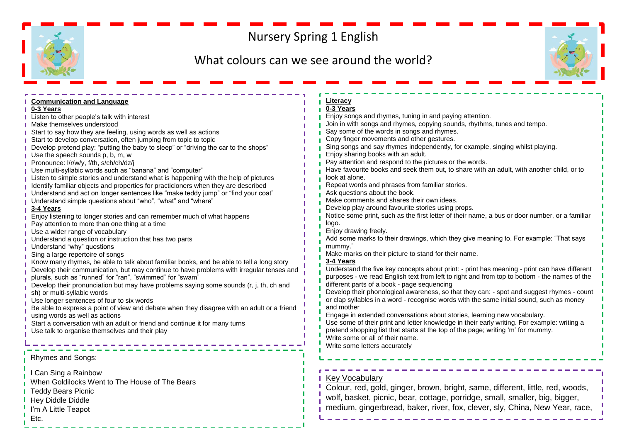## Nursery Spring 1 English

## What colours can we see around the world?



| <b>Communication and Language</b>                                                                                                               | Literacy                                                                                       |
|-------------------------------------------------------------------------------------------------------------------------------------------------|------------------------------------------------------------------------------------------------|
| 0-3 Years                                                                                                                                       | 0-3 Years<br>Enjoy songs and rhymes, tuning in and paying attention.                           |
| Listen to other people's talk with interest                                                                                                     | Join in with songs and rhymes, copying sounds, rhythms, tunes and tempo.                       |
| Make themselves understood                                                                                                                      | Say some of the words in songs and rhymes.                                                     |
| Start to say how they are feeling, using words as well as actions<br>Start to develop conversation, often jumping from topic to topic           | Copy finger movements and other gestures.                                                      |
|                                                                                                                                                 | Sing songs and say rhymes independently, for example, singing whilst playing.                  |
| Develop pretend play: "putting the baby to sleep" or "driving the car to the shops"                                                             | Enjoy sharing books with an adult.                                                             |
| Use the speech sounds p, b, m, w                                                                                                                | Pay attention and respond to the pictures or the words.                                        |
| Pronounce: I/r/w/y, f/th, s/ch/ch/dz/j                                                                                                          | Have favourite books and seek them out, to share with an adult, with another child, or to      |
| Use multi-syllabic words such as "banana" and "computer"<br>Listen to simple stories and understand what is happening with the help of pictures | look at alone.                                                                                 |
| Identify familiar objects and properties for practicioners when they are described                                                              | Repeat words and phrases from familiar stories.                                                |
| Understand and act on longer sentences like "make teddy jump" or "find your coat"                                                               | Ask questions about the book.                                                                  |
| Understand simple questions about "who", "what" and "where"                                                                                     | Make comments and shares their own ideas.                                                      |
|                                                                                                                                                 | Develop play around favourite stories using props.                                             |
| <b>3-4 Years</b><br>Enjoy listening to longer stories and can remember much of what happens                                                     | Notice some print, such as the first letter of their name, a bus or door number, or a familiar |
| Pay attention to more than one thing at a time                                                                                                  | logo.                                                                                          |
| Use a wider range of vocabulary                                                                                                                 | Enjoy drawing freely.                                                                          |
| Understand a question or instruction that has two parts                                                                                         | Add some marks to their drawings, which they give meaning to. For example: "That says          |
| Understand "why" questions                                                                                                                      | mummy."                                                                                        |
| Sing a large repertoire of songs                                                                                                                | Make marks on their picture to stand for their name.                                           |
| Know many rhymes, be able to talk about familiar books, and be able to tell a long story                                                        | 3-4 Years                                                                                      |
| Develop their communication, but may continue to have problems with irregular tenses and                                                        | Understand the five key concepts about print: - print has meaning - print can have different   |
| plurals, such as "runned" for "ran", "swimmed" for "swam"                                                                                       | purposes - we read English text from left to right and from top to bottom - the names of the   |
| Develop their pronunciation but may have problems saying some sounds (r, j, th, ch and                                                          | different parts of a book - page sequencing                                                    |
| sh) or multi-syllabic words                                                                                                                     | Develop their phonological awareness, so that they can: - spot and suggest rhymes - count      |
| Use longer sentences of four to six words                                                                                                       | or clap syllables in a word - recognise words with the same initial sound, such as money       |
| Be able to express a point of view and debate when they disagree with an adult or a friend                                                      | and mother                                                                                     |
| using words as well as actions                                                                                                                  | Engage in extended conversations about stories, learning new vocabulary.                       |
| Start a conversation with an adult or friend and continue it for many turns                                                                     | Use some of their print and letter knowledge in their early writing. For example: writing a    |
| Use talk to organise themselves and their play                                                                                                  | pretend shopping list that starts at the top of the page; writing 'm' for mummy.               |
|                                                                                                                                                 | Write some or all of their name.                                                               |
|                                                                                                                                                 | Write some letters accurately                                                                  |
|                                                                                                                                                 |                                                                                                |
| Rhymes and Songs:                                                                                                                               |                                                                                                |
| I Can Sing a Rainbow                                                                                                                            |                                                                                                |
| When Goldilocks Went to The House of The Bears                                                                                                  | <b>Key Vocabulary</b>                                                                          |
| <b>Teddy Bears Picnic</b>                                                                                                                       | Colour, red, gold, ginger, brown, bright, same, different, little, red, woods,                 |
|                                                                                                                                                 | wolf, basket, picnic, bear, cottage, porridge, small, smaller, big, bigger,                    |
| Hey Diddle Diddle                                                                                                                               |                                                                                                |
| I'm A Little Teapot                                                                                                                             | medium, gingerbread, baker, river, fox, clever, sly, China, New Year, race,                    |
| Etc.                                                                                                                                            |                                                                                                |